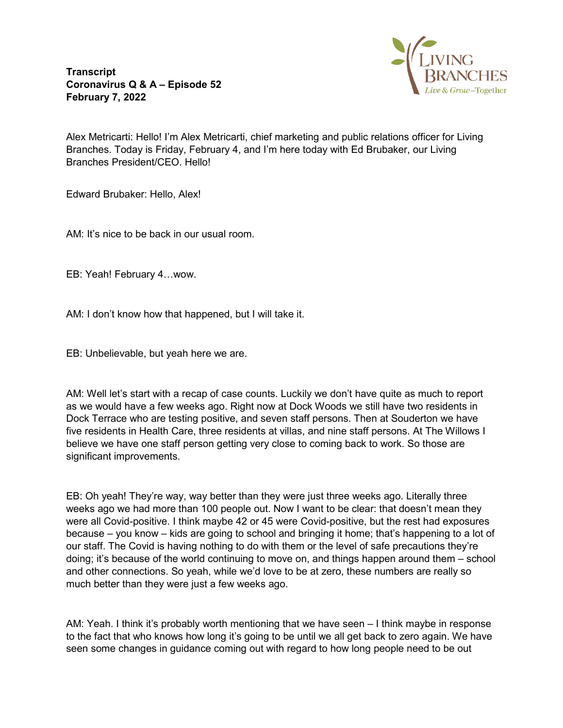**Transcript Coronavirus Q & A – Episode 52 February 7, 2022**



Alex Metricarti: Hello! I'm Alex Metricarti, chief marketing and public relations officer for Living Branches. Today is Friday, February 4, and I'm here today with Ed Brubaker, our Living Branches President/CEO. Hello!

Edward Brubaker: Hello, Alex!

AM: It's nice to be back in our usual room.

EB: Yeah! February 4…wow.

AM: I don't know how that happened, but I will take it.

EB: Unbelievable, but yeah here we are.

AM: Well let's start with a recap of case counts. Luckily we don't have quite as much to report as we would have a few weeks ago. Right now at Dock Woods we still have two residents in Dock Terrace who are testing positive, and seven staff persons. Then at Souderton we have five residents in Health Care, three residents at villas, and nine staff persons. At The Willows I believe we have one staff person getting very close to coming back to work. So those are significant improvements.

EB: Oh yeah! They're way, way better than they were just three weeks ago. Literally three weeks ago we had more than 100 people out. Now I want to be clear: that doesn't mean they were all Covid-positive. I think maybe 42 or 45 were Covid-positive, but the rest had exposures because – you know – kids are going to school and bringing it home; that's happening to a lot of our staff. The Covid is having nothing to do with them or the level of safe precautions they're doing; it's because of the world continuing to move on, and things happen around them – school and other connections. So yeah, while we'd love to be at zero, these numbers are really so much better than they were just a few weeks ago.

AM: Yeah. I think it's probably worth mentioning that we have seen – I think maybe in response to the fact that who knows how long it's going to be until we all get back to zero again. We have seen some changes in guidance coming out with regard to how long people need to be out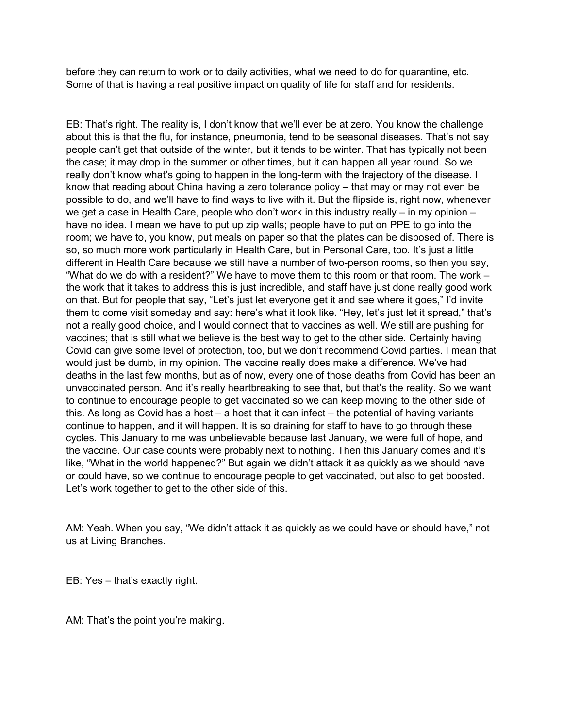before they can return to work or to daily activities, what we need to do for quarantine, etc. Some of that is having a real positive impact on quality of life for staff and for residents.

EB: That's right. The reality is, I don't know that we'll ever be at zero. You know the challenge about this is that the flu, for instance, pneumonia, tend to be seasonal diseases. That's not say people can't get that outside of the winter, but it tends to be winter. That has typically not been the case; it may drop in the summer or other times, but it can happen all year round. So we really don't know what's going to happen in the long-term with the trajectory of the disease. I know that reading about China having a zero tolerance policy – that may or may not even be possible to do, and we'll have to find ways to live with it. But the flipside is, right now, whenever we get a case in Health Care, people who don't work in this industry really – in my opinion – have no idea. I mean we have to put up zip walls; people have to put on PPE to go into the room; we have to, you know, put meals on paper so that the plates can be disposed of. There is so, so much more work particularly in Health Care, but in Personal Care, too. It's just a little different in Health Care because we still have a number of two-person rooms, so then you say, "What do we do with a resident?" We have to move them to this room or that room. The work – the work that it takes to address this is just incredible, and staff have just done really good work on that. But for people that say, "Let's just let everyone get it and see where it goes," I'd invite them to come visit someday and say: here's what it look like. "Hey, let's just let it spread," that's not a really good choice, and I would connect that to vaccines as well. We still are pushing for vaccines; that is still what we believe is the best way to get to the other side. Certainly having Covid can give some level of protection, too, but we don't recommend Covid parties. I mean that would just be dumb, in my opinion. The vaccine really does make a difference. We've had deaths in the last few months, but as of now, every one of those deaths from Covid has been an unvaccinated person. And it's really heartbreaking to see that, but that's the reality. So we want to continue to encourage people to get vaccinated so we can keep moving to the other side of this. As long as Covid has a host – a host that it can infect – the potential of having variants continue to happen, and it will happen. It is so draining for staff to have to go through these cycles. This January to me was unbelievable because last January, we were full of hope, and the vaccine. Our case counts were probably next to nothing. Then this January comes and it's like, "What in the world happened?" But again we didn't attack it as quickly as we should have or could have, so we continue to encourage people to get vaccinated, but also to get boosted. Let's work together to get to the other side of this.

AM: Yeah. When you say, "We didn't attack it as quickly as we could have or should have," not us at Living Branches.

EB: Yes – that's exactly right.

AM: That's the point you're making.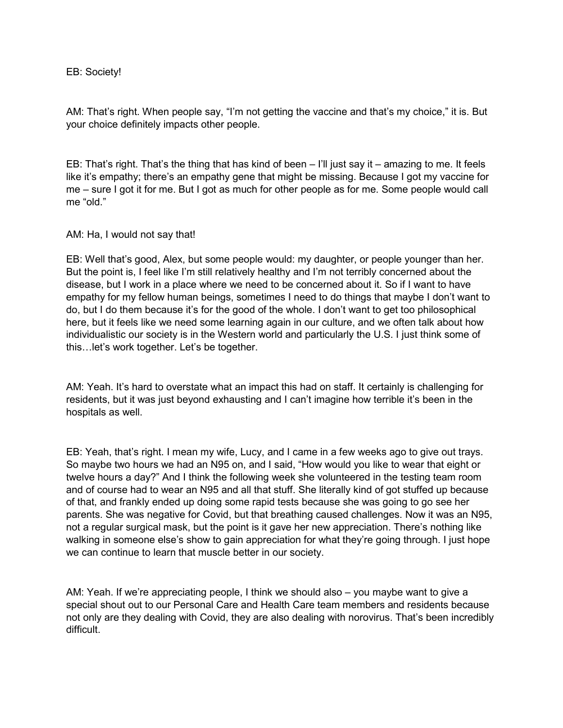## EB: Society!

AM: That's right. When people say, "I'm not getting the vaccine and that's my choice," it is. But your choice definitely impacts other people.

EB: That's right. That's the thing that has kind of been – I'll just say it – amazing to me. It feels like it's empathy; there's an empathy gene that might be missing. Because I got my vaccine for me – sure I got it for me. But I got as much for other people as for me. Some people would call me "old."

## AM: Ha, I would not say that!

EB: Well that's good, Alex, but some people would: my daughter, or people younger than her. But the point is, I feel like I'm still relatively healthy and I'm not terribly concerned about the disease, but I work in a place where we need to be concerned about it. So if I want to have empathy for my fellow human beings, sometimes I need to do things that maybe I don't want to do, but I do them because it's for the good of the whole. I don't want to get too philosophical here, but it feels like we need some learning again in our culture, and we often talk about how individualistic our society is in the Western world and particularly the U.S. I just think some of this…let's work together. Let's be together.

AM: Yeah. It's hard to overstate what an impact this had on staff. It certainly is challenging for residents, but it was just beyond exhausting and I can't imagine how terrible it's been in the hospitals as well.

EB: Yeah, that's right. I mean my wife, Lucy, and I came in a few weeks ago to give out trays. So maybe two hours we had an N95 on, and I said, "How would you like to wear that eight or twelve hours a day?" And I think the following week she volunteered in the testing team room and of course had to wear an N95 and all that stuff. She literally kind of got stuffed up because of that, and frankly ended up doing some rapid tests because she was going to go see her parents. She was negative for Covid, but that breathing caused challenges. Now it was an N95, not a regular surgical mask, but the point is it gave her new appreciation. There's nothing like walking in someone else's show to gain appreciation for what they're going through. I just hope we can continue to learn that muscle better in our society.

AM: Yeah. If we're appreciating people, I think we should also – you maybe want to give a special shout out to our Personal Care and Health Care team members and residents because not only are they dealing with Covid, they are also dealing with norovirus. That's been incredibly difficult.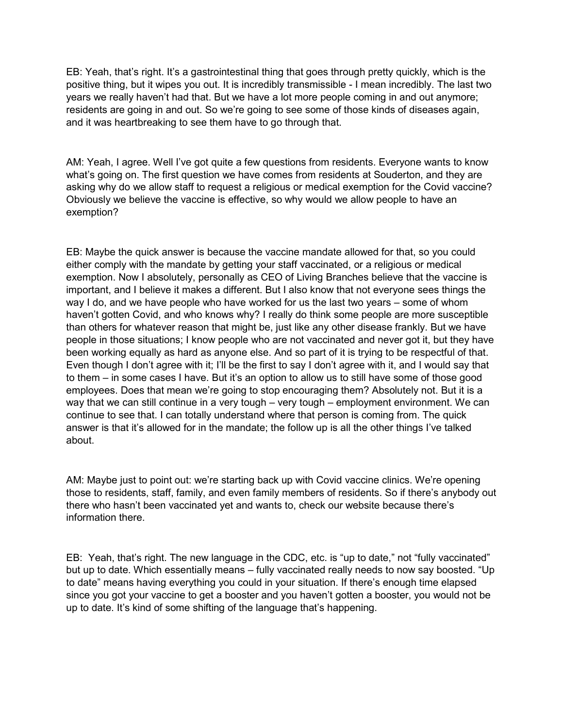EB: Yeah, that's right. It's a gastrointestinal thing that goes through pretty quickly, which is the positive thing, but it wipes you out. It is incredibly transmissible - I mean incredibly. The last two years we really haven't had that. But we have a lot more people coming in and out anymore; residents are going in and out. So we're going to see some of those kinds of diseases again, and it was heartbreaking to see them have to go through that.

AM: Yeah, I agree. Well I've got quite a few questions from residents. Everyone wants to know what's going on. The first question we have comes from residents at Souderton, and they are asking why do we allow staff to request a religious or medical exemption for the Covid vaccine? Obviously we believe the vaccine is effective, so why would we allow people to have an exemption?

EB: Maybe the quick answer is because the vaccine mandate allowed for that, so you could either comply with the mandate by getting your staff vaccinated, or a religious or medical exemption. Now I absolutely, personally as CEO of Living Branches believe that the vaccine is important, and I believe it makes a different. But I also know that not everyone sees things the way I do, and we have people who have worked for us the last two years – some of whom haven't gotten Covid, and who knows why? I really do think some people are more susceptible than others for whatever reason that might be, just like any other disease frankly. But we have people in those situations; I know people who are not vaccinated and never got it, but they have been working equally as hard as anyone else. And so part of it is trying to be respectful of that. Even though I don't agree with it; I'll be the first to say I don't agree with it, and I would say that to them – in some cases I have. But it's an option to allow us to still have some of those good employees. Does that mean we're going to stop encouraging them? Absolutely not. But it is a way that we can still continue in a very tough – very tough – employment environment. We can continue to see that. I can totally understand where that person is coming from. The quick answer is that it's allowed for in the mandate; the follow up is all the other things I've talked about.

AM: Maybe just to point out: we're starting back up with Covid vaccine clinics. We're opening those to residents, staff, family, and even family members of residents. So if there's anybody out there who hasn't been vaccinated yet and wants to, check our website because there's information there.

EB: Yeah, that's right. The new language in the CDC, etc. is "up to date," not "fully vaccinated" but up to date. Which essentially means – fully vaccinated really needs to now say boosted. "Up to date" means having everything you could in your situation. If there's enough time elapsed since you got your vaccine to get a booster and you haven't gotten a booster, you would not be up to date. It's kind of some shifting of the language that's happening.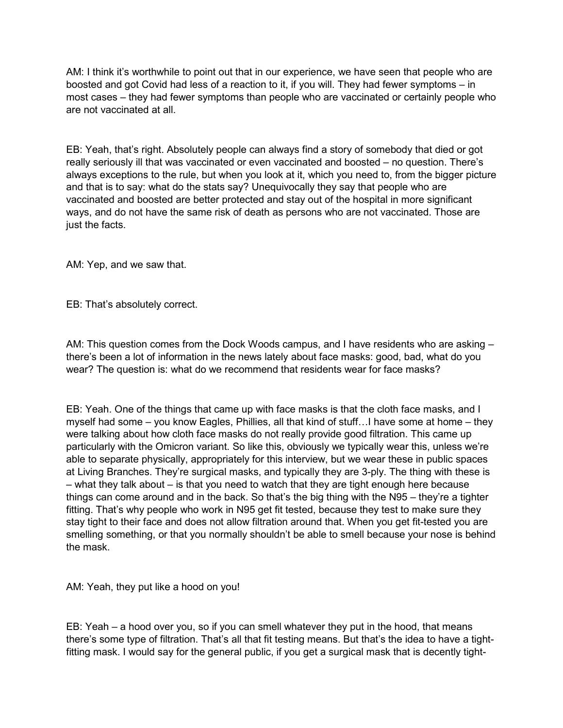AM: I think it's worthwhile to point out that in our experience, we have seen that people who are boosted and got Covid had less of a reaction to it, if you will. They had fewer symptoms – in most cases – they had fewer symptoms than people who are vaccinated or certainly people who are not vaccinated at all.

EB: Yeah, that's right. Absolutely people can always find a story of somebody that died or got really seriously ill that was vaccinated or even vaccinated and boosted – no question. There's always exceptions to the rule, but when you look at it, which you need to, from the bigger picture and that is to say: what do the stats say? Unequivocally they say that people who are vaccinated and boosted are better protected and stay out of the hospital in more significant ways, and do not have the same risk of death as persons who are not vaccinated. Those are just the facts.

AM: Yep, and we saw that.

EB: That's absolutely correct.

AM: This question comes from the Dock Woods campus, and I have residents who are asking – there's been a lot of information in the news lately about face masks: good, bad, what do you wear? The question is: what do we recommend that residents wear for face masks?

EB: Yeah. One of the things that came up with face masks is that the cloth face masks, and I myself had some – you know Eagles, Phillies, all that kind of stuff…I have some at home – they were talking about how cloth face masks do not really provide good filtration. This came up particularly with the Omicron variant. So like this, obviously we typically wear this, unless we're able to separate physically, appropriately for this interview, but we wear these in public spaces at Living Branches. They're surgical masks, and typically they are 3-ply. The thing with these is – what they talk about – is that you need to watch that they are tight enough here because things can come around and in the back. So that's the big thing with the N95 – they're a tighter fitting. That's why people who work in N95 get fit tested, because they test to make sure they stay tight to their face and does not allow filtration around that. When you get fit-tested you are smelling something, or that you normally shouldn't be able to smell because your nose is behind the mask.

AM: Yeah, they put like a hood on you!

EB: Yeah – a hood over you, so if you can smell whatever they put in the hood, that means there's some type of filtration. That's all that fit testing means. But that's the idea to have a tightfitting mask. I would say for the general public, if you get a surgical mask that is decently tight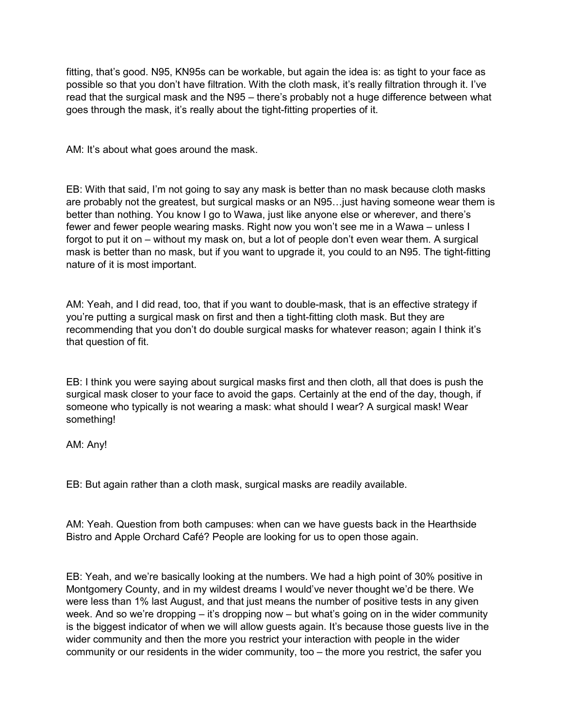fitting, that's good. N95, KN95s can be workable, but again the idea is: as tight to your face as possible so that you don't have filtration. With the cloth mask, it's really filtration through it. I've read that the surgical mask and the N95 – there's probably not a huge difference between what goes through the mask, it's really about the tight-fitting properties of it.

AM: It's about what goes around the mask.

EB: With that said, I'm not going to say any mask is better than no mask because cloth masks are probably not the greatest, but surgical masks or an N95…just having someone wear them is better than nothing. You know I go to Wawa, just like anyone else or wherever, and there's fewer and fewer people wearing masks. Right now you won't see me in a Wawa – unless I forgot to put it on – without my mask on, but a lot of people don't even wear them. A surgical mask is better than no mask, but if you want to upgrade it, you could to an N95. The tight-fitting nature of it is most important.

AM: Yeah, and I did read, too, that if you want to double-mask, that is an effective strategy if you're putting a surgical mask on first and then a tight-fitting cloth mask. But they are recommending that you don't do double surgical masks for whatever reason; again I think it's that question of fit.

EB: I think you were saying about surgical masks first and then cloth, all that does is push the surgical mask closer to your face to avoid the gaps. Certainly at the end of the day, though, if someone who typically is not wearing a mask: what should I wear? A surgical mask! Wear something!

AM: Any!

EB: But again rather than a cloth mask, surgical masks are readily available.

AM: Yeah. Question from both campuses: when can we have guests back in the Hearthside Bistro and Apple Orchard Café? People are looking for us to open those again.

EB: Yeah, and we're basically looking at the numbers. We had a high point of 30% positive in Montgomery County, and in my wildest dreams I would've never thought we'd be there. We were less than 1% last August, and that just means the number of positive tests in any given week. And so we're dropping – it's dropping now – but what's going on in the wider community is the biggest indicator of when we will allow guests again. It's because those guests live in the wider community and then the more you restrict your interaction with people in the wider community or our residents in the wider community, too – the more you restrict, the safer you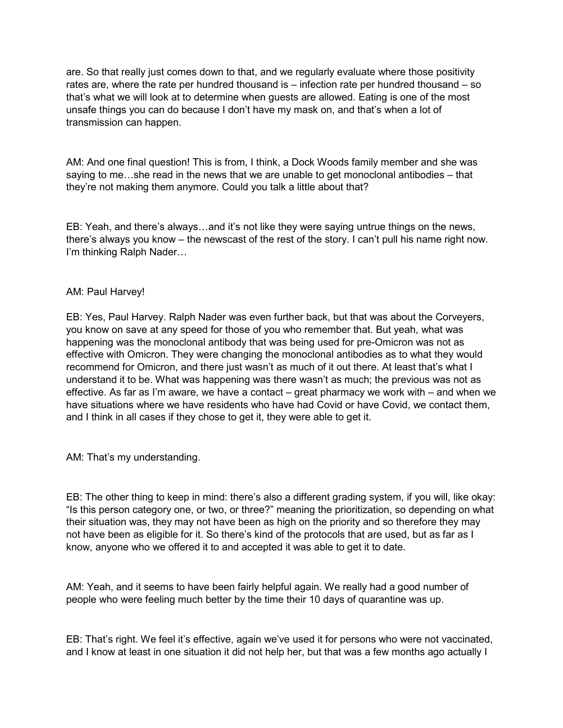are. So that really just comes down to that, and we regularly evaluate where those positivity rates are, where the rate per hundred thousand is – infection rate per hundred thousand – so that's what we will look at to determine when guests are allowed. Eating is one of the most unsafe things you can do because I don't have my mask on, and that's when a lot of transmission can happen.

AM: And one final question! This is from, I think, a Dock Woods family member and she was saying to me…she read in the news that we are unable to get monoclonal antibodies – that they're not making them anymore. Could you talk a little about that?

EB: Yeah, and there's always…and it's not like they were saying untrue things on the news, there's always you know – the newscast of the rest of the story. I can't pull his name right now. I'm thinking Ralph Nader…

## AM: Paul Harvey!

EB: Yes, Paul Harvey. Ralph Nader was even further back, but that was about the Corveyers, you know on save at any speed for those of you who remember that. But yeah, what was happening was the monoclonal antibody that was being used for pre-Omicron was not as effective with Omicron. They were changing the monoclonal antibodies as to what they would recommend for Omicron, and there just wasn't as much of it out there. At least that's what I understand it to be. What was happening was there wasn't as much; the previous was not as effective. As far as I'm aware, we have a contact – great pharmacy we work with – and when we have situations where we have residents who have had Covid or have Covid, we contact them, and I think in all cases if they chose to get it, they were able to get it.

AM: That's my understanding.

EB: The other thing to keep in mind: there's also a different grading system, if you will, like okay: "Is this person category one, or two, or three?" meaning the prioritization, so depending on what their situation was, they may not have been as high on the priority and so therefore they may not have been as eligible for it. So there's kind of the protocols that are used, but as far as I know, anyone who we offered it to and accepted it was able to get it to date.

AM: Yeah, and it seems to have been fairly helpful again. We really had a good number of people who were feeling much better by the time their 10 days of quarantine was up.

EB: That's right. We feel it's effective, again we've used it for persons who were not vaccinated, and I know at least in one situation it did not help her, but that was a few months ago actually I